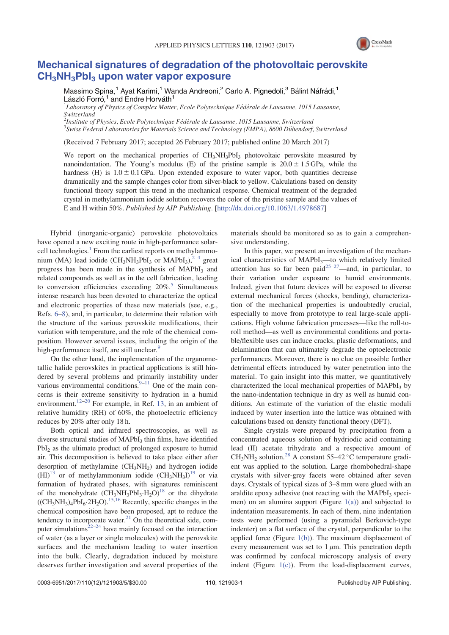

## Mechanical signatures of degradation of the photovoltaic perovskite  $CH<sub>3</sub>NH<sub>3</sub>Pbl<sub>3</sub>$  upon water vapor exposure

Massimo Spina,<sup>1</sup> Ayat Karimi,<sup>1</sup> Wanda Andreoni,<sup>2</sup> Carlo A. Pignedoli,<sup>3</sup> Bálint Náfrádi,<sup>1</sup> László Forró,<sup>1</sup> and Endre Horváth<sup>1</sup>

 ${}^{1}$ Laboratory of Physics of Complex Matter, Ecole Polytechnique Fédérale de Lausanne, 1015 Lausanne, Switzerland

<sup>2</sup>Institute of Physics, Ecole Polytechnique Fédérale de Lausanne, 1015 Lausanne, Switzerland <sup>3</sup> Swiss Federal Laboratories for Materials Science and Technology (EMPA), 8600 Dübendorf, Switzerland

(Received 7 February 2017; accepted 26 February 2017; published online 20 March 2017)

We report on the mechanical properties of CH<sub>3</sub>NH<sub>3</sub>PbI<sub>3</sub> photovoltaic perovskite measured by nanoindentation. The Young's modulus (E) of the pristine sample is  $20.0 \pm 1.5$  GPa, while the hardness (H) is  $1.0 \pm 0.1$  GPa. Upon extended exposure to water vapor, both quantities decrease dramatically and the sample changes color from silver-black to yellow. Calculations based on density functional theory support this trend in the mechanical response. Chemical treatment of the degraded crystal in methylammonium iodide solution recovers the color of the pristine sample and the values of E and H within 50%. Published by AIP Publishing. [http://dx.doi.org/10.1063/1.4978687]

Hybrid (inorganic-organic) perovskite photovoltaics have opened a new exciting route in high-performance solarcell technologies.<sup>1</sup> From the earliest reports on methylammonium (MA) lead iodide (CH<sub>3</sub>NH<sub>3</sub>PbI<sub>3</sub> or MAPbI<sub>3</sub>),<sup>2-4</sup> great progress has been made in the synthesis of MAPbI<sub>3</sub> and related compounds as well as in the cell fabrication, leading to conversion efficiencies exceeding  $20\%$ <sup>5</sup> Simultaneous intense research has been devoted to characterize the optical and electronic properties of these new materials (see, e.g., Refs. 6–8), and, in particular, to determine their relation with the structure of the various perovskite modifications, their variation with temperature, and the role of the chemical composition. However several issues, including the origin of the high-performance itself, are still unclear.<sup>9</sup>

On the other hand, the implementation of the organometallic halide perovskites in practical applications is still hindered by several problems and primarily instability under various environmental conditions. $9-11$  One of the main concerns is their extreme sensitivity to hydration in a humid environment.<sup>12–20</sup> For example, in Ref. 13, in an ambient of relative humidity (RH) of 60%, the photoelectric efficiency reduces by 20% after only 18 h.

Both optical and infrared spectroscopies, as well as diverse structural studies of MAPbI<sub>3</sub> thin films, have identified PbI<sub>2</sub> as the ultimate product of prolonged exposure to humid air. This decomposition is believed to take place either after desorption of methylamine  $(CH_3NH_2)$  and hydrogen iodide  $(HI)^{13}$  or of methylammonium iodide  $(CH_3NH_3I)^{19}$  or via formation of hydrated phases, with signatures reminiscent of the monohydrate  $\left(\frac{CH_3NH_3PbI_3 \cdot H_2O}{H_3^{15} + H_2^{15}}\right)^{18}$  or the dihydrate  $((CH<sub>3</sub>NH<sub>3</sub>)<sub>4</sub>PbI<sub>6</sub>·2H<sub>2</sub>O)<sup>15,16</sup>$  Recently, specific changes in the chemical composition have been proposed, apt to reduce the tendency to incorporate water. $^{21}$  On the theoretical side, computer simulations $2^{22-24}$  have mainly focused on the interaction of water (as a layer or single molecules) with the perovskite surfaces and the mechanism leading to water insertion into the bulk. Clearly, degradation induced by moisture deserves further investigation and several properties of the

materials should be monitored so as to gain a comprehensive understanding.

In this paper, we present an investigation of the mechanical characteristics of MAPbI<sub>3</sub>—to which relatively limited attention has so far been paid<sup>25-27</sup>—and, in particular, to their variation under exposure to humid environments. Indeed, given that future devices will be exposed to diverse external mechanical forces (shocks, bending), characterization of the mechanical properties is undoubtedly crucial, especially to move from prototype to real large-scale applications. High volume fabrication processes—like the roll-toroll method—as well as environmental conditions and portable/flexible uses can induce cracks, plastic deformations, and delamination that can ultimately degrade the optoelectronic performances. Moreover, there is no clue on possible further detrimental effects introduced by water penetration into the material. To gain insight into this matter, we quantitatively characterized the local mechanical properties of MAPbI<sub>3</sub> by the nano-indentation technique in dry as well as humid conditions. An estimate of the variation of the elastic moduli induced by water insertion into the lattice was obtained with calculations based on density functional theory (DFT).

Single crystals were prepared by precipitation from a concentrated aqueous solution of hydriodic acid containing lead (II) acetate trihydrate and a respective amount of  $CH_3NH_2$  solution.<sup>28</sup> A constant 55–42 °C temperature gradient was applied to the solution. Large rhombohedral-shape crystals with silver-grey facets were obtained after seven days. Crystals of typical sizes of 3–8 mm were glued with an araldite epoxy adhesive (not reacting with the MAP $bI_3$  specimen) on an alumina support (Figure  $1(a)$ ) and subjected to indentation measurements. In each of them, nine indentation tests were performed (using a pyramidal Berkovich-type indenter) on a flat surface of the crystal, perpendicular to the applied force (Figure  $1(b)$ ). The maximum displacement of every measurement was set to  $1 \mu m$ . This penetration depth was confirmed by confocal microscopy analysis of every indent (Figure  $1(c)$ ). From the load-displacement curves,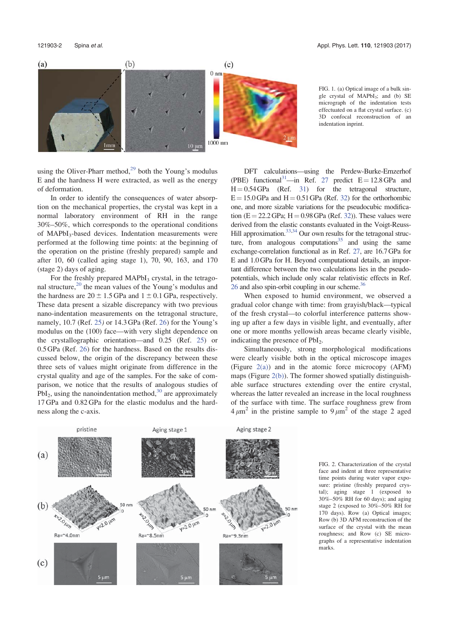



using the Oliver-Pharr method, $2^9$  both the Young's modulus E and the hardness H were extracted, as well as the energy of deformation.

In order to identify the consequences of water absorption on the mechanical properties, the crystal was kept in a normal laboratory environment of RH in the range 30%–50%, which corresponds to the operational conditions of MAPbI<sub>3</sub>-based devices. Indentation measurements were performed at the following time points: at the beginning of the operation on the pristine (freshly prepared) sample and after 10, 60 (called aging stage 1), 70, 90, 163, and 170 (stage 2) days of aging.

For the freshly prepared  $MAPbI<sub>3</sub>$  crystal, in the tetragonal structure,<sup>20</sup> the mean values of the Young's modulus and the hardness are  $20 \pm 1.5$  GPa and  $1 \pm 0.1$  GPa, respectively. These data present a sizable discrepancy with two previous nano-indentation measurements on the tetragonal structure, namely, 10.7 (Ref. 25) or 14.3 GPa (Ref. 26) for the Young's modulus on the (100) face—with very slight dependence on the crystallographic orientation—and 0.25 (Ref. 25) or 0.5 GPa (Ref. 26) for the hardness. Based on the results discussed below, the origin of the discrepancy between these three sets of values might originate from difference in the crystal quality and age of the samples. For the sake of comparison, we notice that the results of analogous studies of PbI<sub>2</sub>, using the nanoindentation method,  $30$  are approximately 17 GPa and 0.82 GPa for the elastic modulus and the hardness along the c-axis.

DFT calculations—using the Perdew-Burke-Ernzerhof (PBE) functional<sup>31</sup>—in Ref. 27 predict  $E = 12.8 \text{ GPa}$  and  $H = 0.54$  GPa (Ref. 31) for the tetragonal structure,  $E = 15.0$  GPa and  $H = 0.51$  GPa (Ref. 32) for the orthorhombic one, and more sizable variations for the pseudocubic modification ( $E = 22.2$  GPa;  $H = 0.98$  GPa (Ref. 32)). These values were derived from the elastic constants evaluated in the Voigt-Reuss-Hill approximation. $33,34$  Our own results for the tetragonal structure, from analogous computations<sup>35</sup> and using the same exchange-correlation functional as in Ref. 27, are 16.7 GPa for E and 1.0 GPa for H. Beyond computational details, an important difference between the two calculations lies in the pseudopotentials, which include only scalar relativistic effects in Ref. 26 and also spin-orbit coupling in our scheme.<sup>36</sup>

When exposed to humid environment, we observed a gradual color change with time: from grayish/black—typical of the fresh crystal—to colorful interference patterns showing up after a few days in visible light, and eventually, after one or more months yellowish areas became clearly visible, indicating the presence of PbI<sub>2</sub>.

Simultaneously, strong morphological modifications were clearly visible both in the optical microscope images (Figure 2(a)) and in the atomic force microcopy (AFM) maps (Figure  $2(b)$ ). The former showed spatially distinguishable surface structures extending over the entire crystal, whereas the latter revealed an increase in the local roughness of the surface with time. The surface roughness grew from  $4 \mu m^2$  in the pristine sample to  $9 \mu m^2$  of the stage 2 aged



FIG. 2. Characterization of the crystal face and indent at three representative time points during water vapor exposure: pristine (freshly prepared crystal); aging stage 1 (exposed to 30%–50% RH for 60 days); and aging stage 2 (exposed to 30%–50% RH for 170 days). Row (a) Optical images; Row (b) 3D AFM reconstruction of the surface of the crystal with the mean roughness; and Row (c) SE micrographs of a representative indentation marks.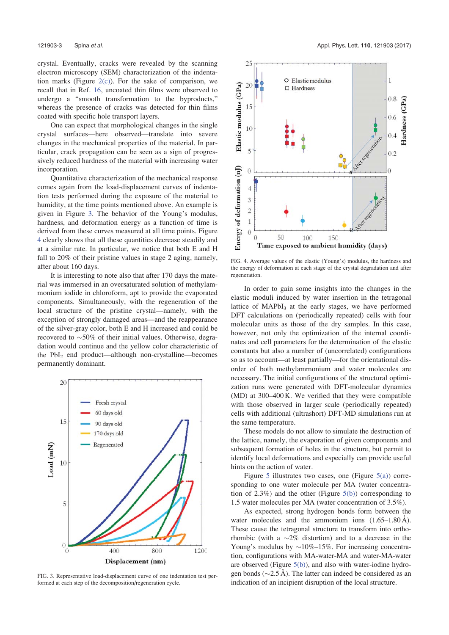crystal. Eventually, cracks were revealed by the scanning electron microscopy (SEM) characterization of the indentation marks (Figure  $2(c)$ ). For the sake of comparison, we recall that in Ref. 16, uncoated thin films were observed to undergo a "smooth transformation to the byproducts," whereas the presence of cracks was detected for thin films coated with specific hole transport layers.

One can expect that morphological changes in the single crystal surfaces—here observed—translate into severe changes in the mechanical properties of the material. In particular, crack propagation can be seen as a sign of progressively reduced hardness of the material with increasing water incorporation.

Quantitative characterization of the mechanical response comes again from the load-displacement curves of indentation tests performed during the exposure of the material to humidity, at the time points mentioned above. An example is given in Figure 3. The behavior of the Young's modulus, hardness, and deformation energy as a function of time is derived from these curves measured at all time points. Figure 4 clearly shows that all these quantities decrease steadily and at a similar rate. In particular, we notice that both E and H fall to 20% of their pristine values in stage 2 aging, namely, after about 160 days.

It is interesting to note also that after 170 days the material was immersed in an oversaturated solution of methylammonium iodide in chloroform, apt to provide the evaporated components. Simultaneously, with the regeneration of the local structure of the pristine crystal—namely, with the exception of strongly damaged areas—and the reappearance of the silver-gray color, both E and H increased and could be recovered to  $\sim$ 50% of their initial values. Otherwise, degradation would continue and the yellow color characteristic of the  $PbI_2$  end product—although non-crystalline—becomes permanently dominant.



FIG. 3. Representative load-displacement curve of one indentation test performed at each step of the decomposition/regeneration cycle.



FIG. 4. Average values of the elastic (Young's) modulus, the hardness and the energy of deformation at each stage of the crystal degradation and after regeneration.

In order to gain some insights into the changes in the elastic moduli induced by water insertion in the tetragonal lattice of  $MAPbI<sub>3</sub>$  at the early stages, we have performed DFT calculations on (periodically repeated) cells with four molecular units as those of the dry samples. In this case, however, not only the optimization of the internal coordinates and cell parameters for the determination of the elastic constants but also a number of (uncorrelated) configurations so as to account—at least partially—for the orientational disorder of both methylammonium and water molecules are necessary. The initial configurations of the structural optimization runs were generated with DFT-molecular dynamics (MD) at 300–400 K. We verified that they were compatible with those observed in larger scale (periodically repeated) cells with additional (ultrashort) DFT-MD simulations run at the same temperature.

These models do not allow to simulate the destruction of the lattice, namely, the evaporation of given components and subsequent formation of holes in the structure, but permit to identify local deformations and especially can provide useful hints on the action of water.

Figure 5 illustrates two cases, one (Figure  $5(a)$ ) corresponding to one water molecule per MA (water concentration of  $2.3\%$ ) and the other (Figure  $5(b)$ ) corresponding to 1.5 water molecules per MA (water concentration of 3.5%).

As expected, strong hydrogen bonds form between the water molecules and the ammonium ions  $(1.65-1.80 \text{ Å})$ . These cause the tetragonal structure to transform into orthorhombic (with a  $\sim$ 2% distortion) and to a decrease in the Young's modulus by  $\sim 10\% - 15\%$ . For increasing concentration, configurations with MA-water-MA and water-MA-water are observed (Figure 5(b)), and also with water-iodine hydrogen bonds ( $\sim$ 2.5 Å). The latter can indeed be considered as an indication of an incipient disruption of the local structure.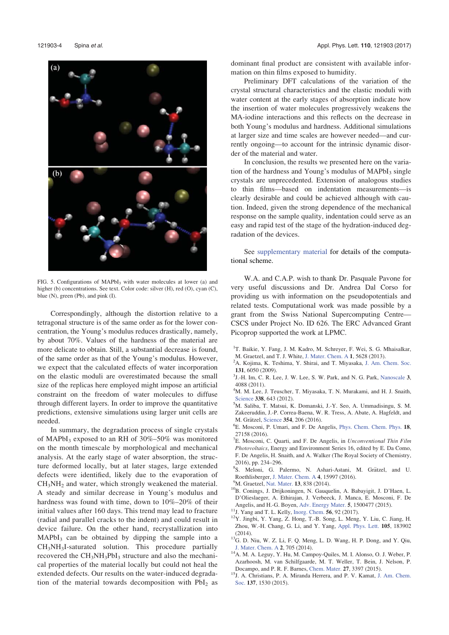

FIG. 5. Configurations of MAPbI<sub>3</sub> with water molecules at lower (a) and higher (b) concentrations. See text. Color code: silver (H), red (O), cyan (C), blue (N), green (Pb), and pink (I).

Correspondingly, although the distortion relative to a tetragonal structure is of the same order as for the lower concentration, the Young's modulus reduces drastically, namely, by about 70%. Values of the hardness of the material are more delicate to obtain. Still, a substantial decrease is found, of the same order as that of the Young's modulus. However, we expect that the calculated effects of water incorporation on the elastic moduli are overestimated because the small size of the replicas here employed might impose an artificial constraint on the freedom of water molecules to diffuse through different layers. In order to improve the quantitative predictions, extensive simulations using larger unit cells are needed.

In summary, the degradation process of single crystals of MAPbI<sub>3</sub> exposed to an RH of  $30\% - 50\%$  was monitored on the month timescale by morphological and mechanical analysis. At the early stage of water absorption, the structure deformed locally, but at later stages, large extended defects were identified, likely due to the evaporation of  $CH<sub>3</sub>NH<sub>2</sub>$  and water, which strongly weakened the material. A steady and similar decrease in Young's modulus and hardness was found with time, down to 10%–20% of their initial values after 160 days. This trend may lead to fracture (radial and parallel cracks to the indent) and could result in device failure. On the other hand, recrystallization into  $MAPbI<sub>3</sub>$  can be obtained by dipping the sample into a CH3NH3I-saturated solution. This procedure partially recovered the  $CH<sub>3</sub>NH<sub>3</sub>PbI<sub>3</sub>$  structure and also the mechanical properties of the material locally but could not heal the extended defects. Our results on the water-induced degradation of the material towards decomposition with  $PbI<sub>2</sub>$  as dominant final product are consistent with available information on thin films exposed to humidity.

Preliminary DFT calculations of the variation of the crystal structural characteristics and the elastic moduli with water content at the early stages of absorption indicate how the insertion of water molecules progressively weakens the MA-iodine interactions and this reflects on the decrease in both Young's modulus and hardness. Additional simulations at larger size and time scales are however needed—and currently ongoing—to account for the intrinsic dynamic disorder of the material and water.

In conclusion, the results we presented here on the variation of the hardness and Young's modulus of  $MAPbI<sub>3</sub>$  single crystals are unprecedented. Extension of analogous studies to thin films—based on indentation measurements—is clearly desirable and could be achieved although with caution. Indeed, given the strong dependence of the mechanical response on the sample quality, indentation could serve as an easy and rapid test of the stage of the hydration-induced degradation of the devices.

See supplementary material for details of the computational scheme.

W.A. and C.A.P. wish to thank Dr. Pasquale Pavone for very useful discussions and Dr. Andrea Dal Corso for providing us with information on the pseudopotentials and related tests. Computational work was made possible by a grant from the Swiss National Supercomputing Centre— CSCS under Project No. ID 626. The ERC Advanced Grant Picoprop supported the work at LPMC.

- <sup>1</sup>T. Baikie, Y. Fang, J. M. Kadro, M. Schreyer, F. Wei, S. G. Mhaisalkar,
- M. Graetzel, and T. J. White, J. Mater. Chem. A <sup>1</sup>, 5628 (2013). <sup>2</sup>
- <sup>2</sup>A. Kojima, K. Teshima, Y. Shirai, and T. Miyasaka, J. Am. Chem. Soc. <sup>131</sup>, 6050 (2009). <sup>3</sup>
- <sup>3</sup>J.-H. Im, C. R. Lee, J. W. Lee, S. W. Park, and N. G. Park, Nanoscale 3, 4088 (2011).
- 4 M. M. Lee, J. Teuscher, T. Miyasaka, T. N. Murakami, and H. J. Snaith, Science 338, 643 (2012).
- M. Saliba, T. Matsui, K. Domanski, J.-Y. Seo, A. Ummadisingu, S. M. Zakeeruddin, J.-P. Correa-Baena, W. R. Tress, A. Abate, A. Hagfeldt, and M. Grätzel, Science 354, 206 (2016).
- E. Mosconi, P. Umari, and F. De Angelis, Phys. Chem. Chem. Phys. 18, 27158 (2016).
- <sup>7</sup>E. Mosconi, C. Quarti, and F. De Angelis, in Unconventional Thin Film Photovoltaics, Energy and Environment Series 16, edited by E. Da Como, F. De Angelis, H. Snaith, and A. Walker (The Royal Society of Chemistry, 2016), pp. 234–296.
- <sup>8</sup>S. Meloni, G. Palermo, N. Ashari-Astani, M. Grätzel, and U. Roethlisberger, J. Mater. Chem. A 4, 15997 (2016).<br><sup>9</sup>M. Graetzel, Nat. Mater. **13**, 838 (2014).
- 
- <sup>10</sup>B. Conings, J. Drijkoningen, N. Gauquelin, A. Babayigit, J. D'Haen, L. D'Olieslaeger, A. Ethirajan, J. Verbeeck, J. Manca, E. Mosconi, F. De Angelis, and H.-G. Boyen, Adv. Energy Mater. 5, 1500477 (2015).<br><sup>11</sup>J. Yang and T. L. Kelly, Inorg. Chem. 56, 92 (2017).<br><sup>12</sup>Y. Jingbi, Y. Yang, Z. Hong, T.-B. Song, L. Meng, Y. Liu, C. Jiang, H.
- 
- Zhou, W.-H. Chang, G. Li, and Y. Yang, Appl. Phys. Lett. 105, 183902 (2014).  $13G$ . D. Niu, W. Z. Li, F. Q. Meng, L. D. Wang, H. P. Dong, and Y. Qiu,
- J. Mater. Chem. A <sup>2</sup>, 705 (2014). 14A. M. A. Leguy, Y. Hu, M. Campoy-Quiles, M. I. Alonso, O. J. Weber, P.
- Azarhoosh, M. van Schilfgaarde, M. T. Weller, T. Bein, J. Nelson, P.
- Docampo, and P. R. F. Barnes, Chem. Mater. 27, 3397 (2015). <sup>15</sup>J. A. Christians, P. A. Miranda Herrera, and P. V. Kamat, J. Am. Chem. Soc. 137, 1530 (2015).